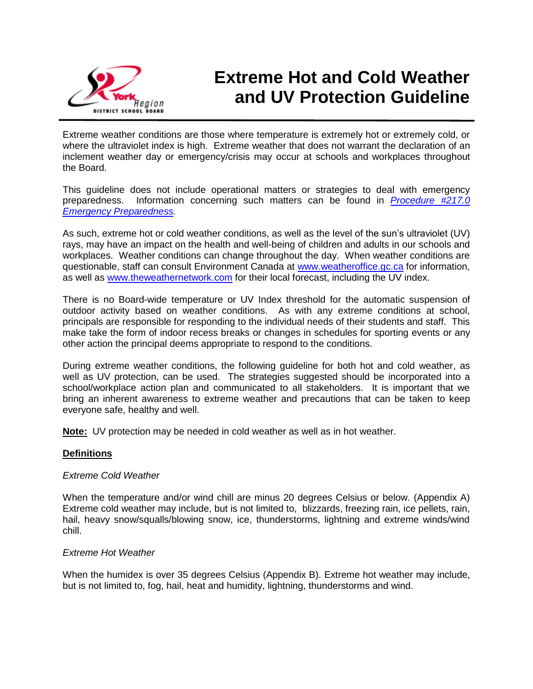

# **Extreme Hot and Cold Weather and UV Protection Guideline**

Extreme weather conditions are those where temperature is extremely hot or extremely cold, or where the ultraviolet index is high. Extreme weather that does not warrant the declaration of an inclement weather day or emergency/crisis may occur at schools and workplaces throughout the Board.

This guideline does not include operational matters or strategies to deal with emergency preparedness. Information concerning such matters can be found in *[Procedure #217.0](https://bww.yrdsb.ca/boarddocs/Pages/CrisisManagement.aspx)  [Emergency Preparedness.](https://bww.yrdsb.ca/boarddocs/Pages/CrisisManagement.aspx)*

As such, extreme hot or cold weather conditions, as well as the level of the sun's ultraviolet (UV) rays, may have an impact on the health and well-being of children and adults in our schools and workplaces. Weather conditions can change throughout the day. When weather conditions are questionable, staff can consult Environment Canada at [www.weatheroffice.gc.ca](http://www.weatheroffice.gc.ca/) for information, as well as [www.theweathernetwork.com](http://www.theweathernetwork.com/) for their local forecast, including the UV index.

There is no Board-wide temperature or UV Index threshold for the automatic suspension of outdoor activity based on weather conditions. As with any extreme conditions at school, principals are responsible for responding to the individual needs of their students and staff. This make take the form of indoor recess breaks or changes in schedules for sporting events or any other action the principal deems appropriate to respond to the conditions.

During extreme weather conditions, the following guideline for both hot and cold weather, as well as UV protection, can be used. The strategies suggested should be incorporated into a school/workplace action plan and communicated to all stakeholders. It is important that we bring an inherent awareness to extreme weather and precautions that can be taken to keep everyone safe, healthy and well.

**Note:** UV protection may be needed in cold weather as well as in hot weather.

#### **Definitions**

#### *Extreme Cold Weather*

When the temperature and/or wind chill are minus 20 degrees Celsius or below. (Appendix A) Extreme cold weather may include, but is not limited to, blizzards, freezing rain, ice pellets, rain, hail, heavy snow/squalls/blowing snow, ice, thunderstorms, lightning and extreme winds/wind chill.

#### *Extreme Hot Weather*

When the humidex is over 35 degrees Celsius (Appendix B). Extreme hot weather may include, but is not limited to, fog, hail, heat and humidity, lightning, thunderstorms and wind.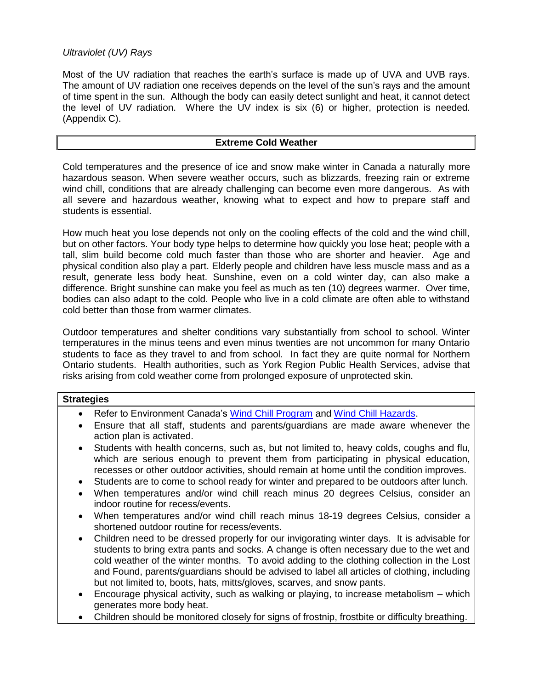# *Ultraviolet (UV) Rays*

Most of the UV radiation that reaches the earth's surface is made up of UVA and UVB rays. The amount of UV radiation one receives depends on the level of the sun's rays and the amount of time spent in the sun. Although the body can easily detect sunlight and heat, it cannot detect the level of UV radiation. Where the UV index is six (6) or higher, protection is needed. (Appendix C).

# **Extreme Cold Weather**

Cold temperatures and the presence of ice and snow make winter in Canada a naturally more hazardous season. When severe weather occurs, such as blizzards, freezing rain or extreme wind chill, conditions that are already challenging can become even more dangerous. As with all severe and hazardous weather, knowing what to expect and how to prepare staff and students is essential.

How much heat you lose depends not only on the cooling effects of the cold and the wind chill, but on other factors. Your body type helps to determine how quickly you lose heat; people with a tall, slim build become cold much faster than those who are shorter and heavier. Age and physical condition also play a part. Elderly people and children have less muscle mass and as a result, generate less body heat. Sunshine, even on a cold winter day, can also make a difference. Bright sunshine can make you feel as much as ten (10) degrees warmer. Over time, bodies can also adapt to the cold. People who live in a cold climate are often able to withstand cold better than those from warmer climates.

Outdoor temperatures and shelter conditions vary substantially from school to school. Winter temperatures in the minus teens and even minus twenties are not uncommon for many Ontario students to face as they travel to and from school. In fact they are quite normal for Northern Ontario students. Health authorities, such as York Region Public Health Services, advise that risks arising from cold weather come from prolonged exposure of unprotected skin.

| <b>Strategies</b>                                                                                                                                                                                                                                                                                                                                                                                                                                                         |  |  |  |
|---------------------------------------------------------------------------------------------------------------------------------------------------------------------------------------------------------------------------------------------------------------------------------------------------------------------------------------------------------------------------------------------------------------------------------------------------------------------------|--|--|--|
| Refer to Environment Canada's Wind Chill Program and Wind Chill Hazards.<br>$\bullet$                                                                                                                                                                                                                                                                                                                                                                                     |  |  |  |
| Ensure that all staff, students and parents/guardians are made aware whenever the<br>$\bullet$<br>action plan is activated.                                                                                                                                                                                                                                                                                                                                               |  |  |  |
| Students with health concerns, such as, but not limited to, heavy colds, coughs and flu,<br>$\bullet$<br>which are serious enough to prevent them from participating in physical education,<br>recesses or other outdoor activities, should remain at home until the condition improves.                                                                                                                                                                                  |  |  |  |
| Students are to come to school ready for winter and prepared to be outdoors after lunch.<br>$\bullet$                                                                                                                                                                                                                                                                                                                                                                     |  |  |  |
| When temperatures and/or wind chill reach minus 20 degrees Celsius, consider an<br>$\bullet$<br>indoor routine for recess/events.                                                                                                                                                                                                                                                                                                                                         |  |  |  |
| When temperatures and/or wind chill reach minus 18-19 degrees Celsius, consider a<br>$\bullet$<br>shortened outdoor routine for recess/events.                                                                                                                                                                                                                                                                                                                            |  |  |  |
| Children need to be dressed properly for our invigorating winter days. It is advisable for<br>$\bullet$<br>students to bring extra pants and socks. A change is often necessary due to the wet and<br>cold weather of the winter months. To avoid adding to the clothing collection in the Lost<br>and Found, parents/guardians should be advised to label all articles of clothing, including<br>but not limited to, boots, hats, mitts/gloves, scarves, and snow pants. |  |  |  |
| Encourage physical activity, such as walking or playing, to increase metabolism - which<br>$\bullet$<br>generates more body heat.                                                                                                                                                                                                                                                                                                                                         |  |  |  |
| Children should be monitored closely for signs of frostnip, frostbite or difficulty breathing.                                                                                                                                                                                                                                                                                                                                                                            |  |  |  |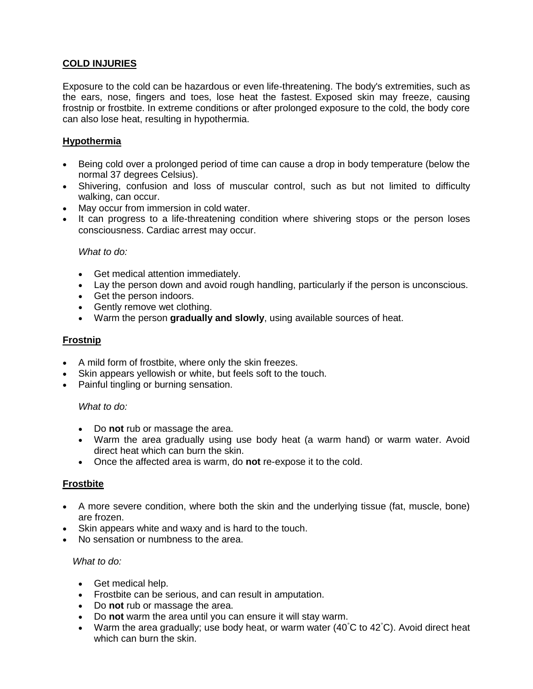# **COLD INJURIES**

Exposure to the cold can be hazardous or even life-threatening. The body's extremities, such as the ears, nose, fingers and toes, lose heat the fastest. Exposed skin may freeze, causing frostnip or frostbite. In extreme conditions or after prolonged exposure to the cold, the body core can also lose heat, resulting in hypothermia.

# **Hypothermia**

- Being cold over a prolonged period of time can cause a drop in body temperature (below the normal 37 degrees Celsius).
- Shivering, confusion and loss of muscular control, such as but not limited to difficulty walking, can occur.
- May occur from immersion in cold water.
- It can progress to a life-threatening condition where shivering stops or the person loses consciousness. Cardiac arrest may occur.

## *What to do:*

- Get medical attention immediately.
- Lay the person down and avoid rough handling, particularly if the person is unconscious.
- Get the person indoors.
- Gently remove wet clothing.
- Warm the person **gradually and slowly**, using available sources of heat.

# **Frostnip**

- A mild form of frostbite, where only the skin freezes.
- Skin appears yellowish or white, but feels soft to the touch.
- Painful tingling or burning sensation.

# *What to do:*

- Do **not** rub or massage the area.
- Warm the area gradually using use body heat (a warm hand) or warm water. Avoid direct heat which can burn the skin.
- Once the affected area is warm, do **not** re-expose it to the cold.

# **Frostbite**

- A more severe condition, where both the skin and the underlying tissue (fat, muscle, bone) are frozen.
- Skin appears white and waxy and is hard to the touch.
- No sensation or numbness to the area.

#### *What to do:*

- Get medical help.
- Frostbite can be serious, and can result in amputation.
- Do **not** rub or massage the area.
- Do **not** warm the area until you can ensure it will stay warm.
- Warm the area gradually; use body heat, or warm water  $(40^{\circ}C)$  to  $42^{\circ}C$ ). Avoid direct heat which can burn the skin.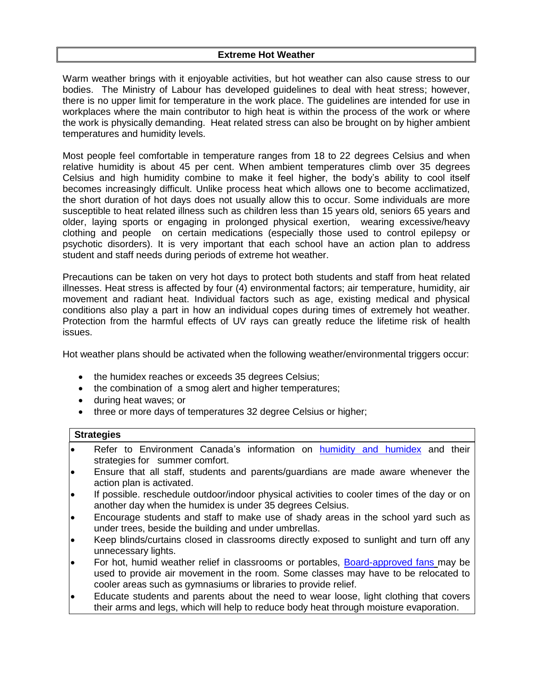## **Extreme Hot Weather**

Warm weather brings with it enjoyable activities, but hot weather can also cause stress to our bodies. The Ministry of Labour has developed guidelines to deal with heat stress; however, there is no upper limit for temperature in the work place. The guidelines are intended for use in workplaces where the main contributor to high heat is within the process of the work or where the work is physically demanding. Heat related stress can also be brought on by higher ambient temperatures and humidity levels.

Most people feel comfortable in temperature ranges from 18 to 22 degrees Celsius and when relative humidity is about 45 per cent. When ambient temperatures climb over 35 degrees Celsius and high humidity combine to make it feel higher, the body's ability to cool itself becomes increasingly difficult. Unlike process heat which allows one to become acclimatized, the short duration of hot days does not usually allow this to occur. Some individuals are more susceptible to heat related illness such as children less than 15 years old, seniors 65 years and older, laying sports or engaging in prolonged physical exertion, wearing excessive/heavy clothing and people on certain medications (especially those used to control epilepsy or psychotic disorders). It is very important that each school have an action plan to address student and staff needs during periods of extreme hot weather.

Precautions can be taken on very hot days to protect both students and staff from heat related illnesses. Heat stress is affected by four (4) environmental factors; air temperature, humidity, air movement and radiant heat. Individual factors such as age, existing medical and physical conditions also play a part in how an individual copes during times of extremely hot weather. Protection from the harmful effects of UV rays can greatly reduce the lifetime risk of health issues.

Hot weather plans should be activated when the following weather/environmental triggers occur:

- the humidex reaches or exceeds 35 degrees Celsius;
- the combination of a smog alert and higher temperatures;
- during heat waves; or
- three or more days of temperatures 32 degree Celsius or higher;

#### **Strategies**

- Refer to Environment Canada's information on humidity [and humidex](http://www.ec.gc.ca/meteo-weather/default.asp?lang=En&n=6C5D4990-1#Heat_and_Humidity) and their strategies for summer comfort.
- Ensure that all staff, students and parents/guardians are made aware whenever the action plan is activated.
- If possible. reschedule outdoor/indoor physical activities to cooler times of the day or on another day when the humidex is under 35 degrees Celsius.
- Encourage students and staff to make use of shady areas in the school yard such as under trees, beside the building and under umbrellas.
- Keep blinds/curtains closed in classrooms directly exposed to sunlight and turn off any unnecessary lights.
- For hot, humid weather relief in classrooms or portables, [Board-approved fans](https://bww.yrdsb.ca/services/healthsafety/Documents/Fans.pdf) may be used to provide air movement in the room. Some classes may have to be relocated to cooler areas such as gymnasiums or libraries to provide relief.
- Educate students and parents about the need to wear loose, light clothing that covers their arms and legs, which will help to reduce body heat through moisture evaporation.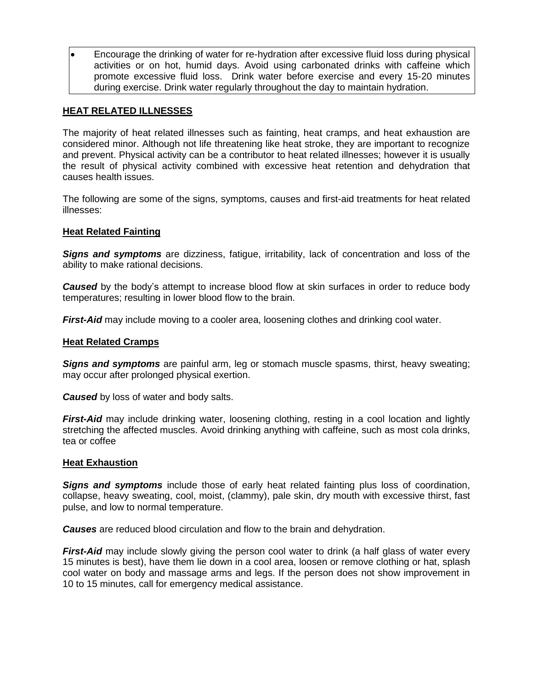Encourage the drinking of water for re-hydration after excessive fluid loss during physical activities or on hot, humid days. Avoid using carbonated drinks with caffeine which promote excessive fluid loss. Drink water before exercise and every 15-20 minutes during exercise. Drink water regularly throughout the day to maintain hydration.

## **HEAT RELATED ILLNESSES**

The majority of heat related illnesses such as fainting, heat cramps, and heat exhaustion are considered minor. Although not life threatening like heat stroke, they are important to recognize and prevent. Physical activity can be a contributor to heat related illnesses; however it is usually the result of physical activity combined with excessive heat retention and dehydration that causes health issues.

The following are some of the signs, symptoms, causes and first-aid treatments for heat related illnesses:

#### **Heat Related Fainting**

*Signs and symptoms* are dizziness, fatigue, irritability, lack of concentration and loss of the ability to make rational decisions.

**Caused** by the body's attempt to increase blood flow at skin surfaces in order to reduce body temperatures; resulting in lower blood flow to the brain.

*First-Aid* may include moving to a cooler area, loosening clothes and drinking cool water.

#### **Heat Related Cramps**

*Signs and symptoms* are painful arm, leg or stomach muscle spasms, thirst, heavy sweating; may occur after prolonged physical exertion.

*Caused* by loss of water and body salts.

*First-Aid* may include drinking water, loosening clothing, resting in a cool location and lightly stretching the affected muscles. Avoid drinking anything with caffeine, such as most cola drinks, tea or coffee

#### **Heat Exhaustion**

*Signs and symptoms* include those of early heat related fainting plus loss of coordination, collapse, heavy sweating, cool, moist, (clammy), pale skin, dry mouth with excessive thirst, fast pulse, and low to normal temperature.

*Causes* are reduced blood circulation and flow to the brain and dehydration.

*First-Aid* may include slowly giving the person cool water to drink (a half glass of water every 15 minutes is best), have them lie down in a cool area, loosen or remove clothing or hat, splash cool water on body and massage arms and legs. If the person does not show improvement in 10 to 15 minutes, call for emergency medical assistance.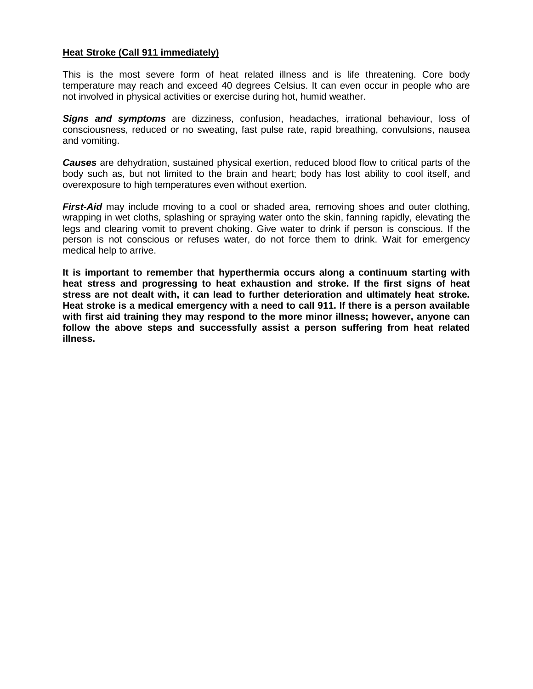## **Heat Stroke (Call 911 immediately)**

This is the most severe form of heat related illness and is life threatening. Core body temperature may reach and exceed 40 degrees Celsius. It can even occur in people who are not involved in physical activities or exercise during hot, humid weather.

*Signs and symptoms* are dizziness, confusion, headaches, irrational behaviour, loss of consciousness, reduced or no sweating, fast pulse rate, rapid breathing, convulsions, nausea and vomiting.

*Causes* are dehydration, sustained physical exertion, reduced blood flow to critical parts of the body such as, but not limited to the brain and heart; body has lost ability to cool itself, and overexposure to high temperatures even without exertion.

*First-Aid* may include moving to a cool or shaded area, removing shoes and outer clothing, wrapping in wet cloths, splashing or spraying water onto the skin, fanning rapidly, elevating the legs and clearing vomit to prevent choking. Give water to drink if person is conscious. If the person is not conscious or refuses water, do not force them to drink. Wait for emergency medical help to arrive.

**It is important to remember that hyperthermia occurs along a continuum starting with heat stress and progressing to heat exhaustion and stroke. If the first signs of heat stress are not dealt with, it can lead to further deterioration and ultimately heat stroke. Heat stroke is a medical emergency with a need to call 911. If there is a person available with first aid training they may respond to the more minor illness; however, anyone can follow the above steps and successfully assist a person suffering from heat related illness.**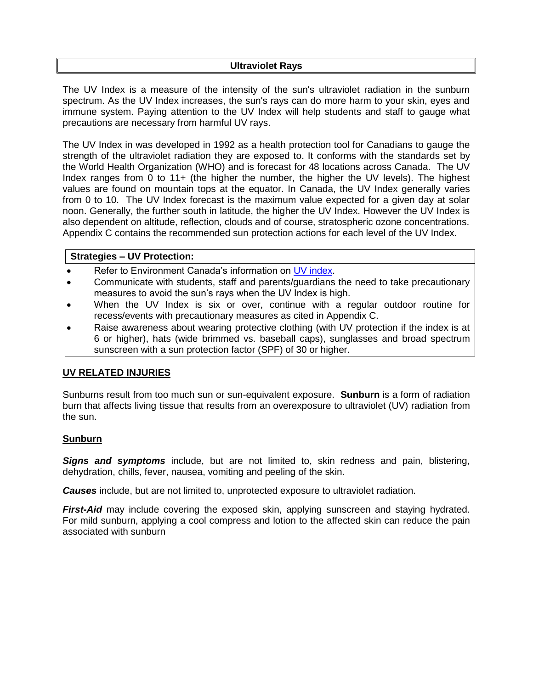#### **Ultraviolet Rays**

The UV Index is a measure of the intensity of the sun's ultraviolet radiation in the sunburn spectrum. As the UV Index increases, the sun's rays can do more harm to your skin, eyes and immune system. Paying attention to the UV Index will help students and staff to gauge what precautions are necessary from harmful UV rays.

The UV Index in was developed in 1992 as a health protection tool for Canadians to gauge the strength of the ultraviolet radiation they are exposed to. It conforms with the standards set by the World Health Organization (WHO) and is forecast for 48 locations across Canada. The UV Index ranges from 0 to 11+ (the higher the number, the higher the UV levels). The highest values are found on mountain tops at the equator. In Canada, the UV Index generally varies from 0 to 10. The UV Index forecast is the maximum value expected for a given day at solar noon. Generally, the further south in latitude, the higher the UV Index. However the UV Index is also dependent on altitude, reflection, clouds and of course, stratospheric ozone concentrations. Appendix C contains the recommended sun protection actions for each level of the UV Index.

## **Strategies – UV Protection:**

- Refer to Environment Canada's information on [UV index.](http://www.ec.gc.ca/uv/default.asp?lang=En&xml=D4001B75-B054-4824-994B-DB3E61741970)
- Communicate with students, staff and parents/guardians the need to take precautionary measures to avoid the sun's rays when the UV Index is high.
- When the UV Index is six or over, continue with a regular outdoor routine for recess/events with precautionary measures as cited in Appendix C.
- Raise awareness about wearing protective clothing (with UV protection if the index is at 6 or higher), hats (wide brimmed vs. baseball caps), sunglasses and broad spectrum sunscreen with a sun protection factor (SPF) of 30 or higher.

# **UV RELATED INJURIES**

Sunburns result from too much sun or sun-equivalent exposure. **Sunburn** is a form of radiation burn that affects living tissue that results from an overexposure to ultraviolet (UV) radiation from the sun.

#### **Sunburn**

*Signs and symptoms* include, but are not limited to, skin redness and pain, blistering, dehydration, chills, fever, nausea, vomiting and peeling of the skin.

*Causes* include, but are not limited to, unprotected exposure to ultraviolet radiation.

*First-Aid* may include covering the exposed skin, applying sunscreen and staying hydrated. For mild sunburn, applying a cool compress and lotion to the affected skin can reduce the pain associated with sunburn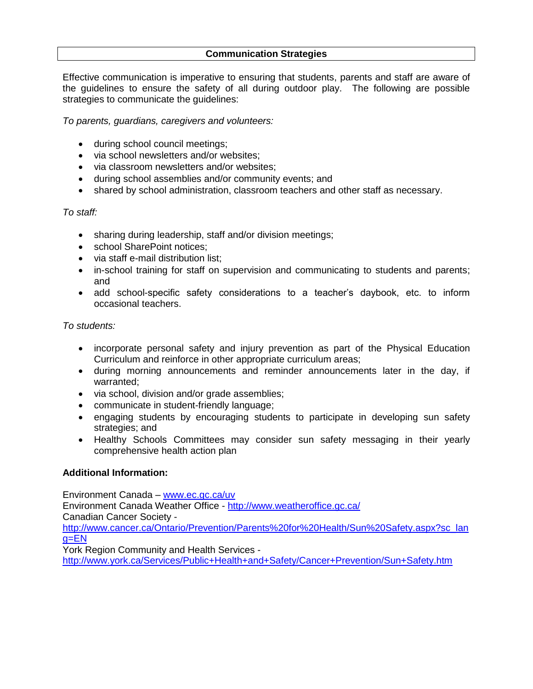## **Communication Strategies**

Effective communication is imperative to ensuring that students, parents and staff are aware of the guidelines to ensure the safety of all during outdoor play. The following are possible strategies to communicate the guidelines:

*To parents, guardians, caregivers and volunteers:*

- during school council meetings;
- via school newsletters and/or websites;
- via classroom newsletters and/or websites:
- during school assemblies and/or community events; and
- shared by school administration, classroom teachers and other staff as necessary.

# *To staff:*

- sharing during leadership, staff and/or division meetings;
- school SharePoint notices:
- via staff e-mail distribution list:
- in-school training for staff on supervision and communicating to students and parents; and
- add school-specific safety considerations to a teacher's daybook, etc. to inform occasional teachers.

# *To students:*

- incorporate personal safety and injury prevention as part of the Physical Education Curriculum and reinforce in other appropriate curriculum areas;
- during morning announcements and reminder announcements later in the day, if warranted;
- via school, division and/or grade assemblies;
- communicate in student-friendly language;
- engaging students by encouraging students to participate in developing sun safety strategies; and
- Healthy Schools Committees may consider sun safety messaging in their yearly comprehensive health action plan

# **Additional Information:**

Environment Canada – [www.ec.gc.ca/uv](http://www.ec.gc.ca/uv) Environment Canada Weather Office - <http://www.weatheroffice.gc.ca/> Canadian Cancer Society [http://www.cancer.ca/Ontario/Prevention/Parents%20for%20Health/Sun%20Safety.aspx?sc\\_lan](http://www.cancer.ca/Ontario/Prevention/Parents%20for%20Health/Sun%20Safety.aspx?sc_lang=EN)  $g=EN$ York Region Community and Health Services <http://www.york.ca/Services/Public+Health+and+Safety/Cancer+Prevention/Sun+Safety.htm>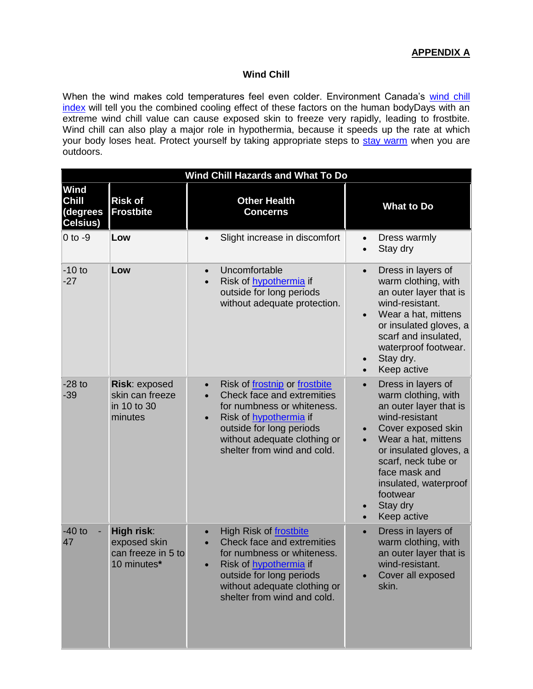# **Wind Chill**

When the wind makes cold temperatures feel even colder. Environment Canada's wind chill [index](http://www.ec.gc.ca/meteo-weather/default.asp?lang=En&n=5FBF816A-1#table1) will tell you the combined cooling effect of these factors on the human bodyDays with an extreme wind chill value can cause exposed skin to freeze very rapidly, leading to frostbite. Wind chill can also play a major role in hypothermia, because it speeds up the rate at which your body loses heat. Protect yourself by taking appropriate steps to [stay warm](http://www.ec.gc.ca/meteo-weather/default.asp?lang=En&n=931335F0-1#Stay%20Warm) when you are outdoors.

| <b>Wind Chill Hazards and What To Do</b>     |                                                                        |                                                                                                                                                                                                                                                       |                                                                                                                                                                                                                                                                                   |  |  |
|----------------------------------------------|------------------------------------------------------------------------|-------------------------------------------------------------------------------------------------------------------------------------------------------------------------------------------------------------------------------------------------------|-----------------------------------------------------------------------------------------------------------------------------------------------------------------------------------------------------------------------------------------------------------------------------------|--|--|
| <b>Wind</b><br>Chill<br>(degrees<br>Celsius) | <b>Risk of</b><br><b>Frostbite</b>                                     | <b>Other Health</b><br><b>Concerns</b>                                                                                                                                                                                                                | <b>What to Do</b>                                                                                                                                                                                                                                                                 |  |  |
| $0$ to $-9$                                  | Low                                                                    | Slight increase in discomfort<br>$\bullet$                                                                                                                                                                                                            | Dress warmly<br>$\bullet$<br>Stay dry<br>$\bullet$                                                                                                                                                                                                                                |  |  |
| $-10$ to<br>$-27$                            | Low                                                                    | Uncomfortable<br>$\bullet$<br>Risk of hypothermia if<br>$\bullet$<br>outside for long periods<br>without adequate protection.                                                                                                                         | Dress in layers of<br>$\bullet$<br>warm clothing, with<br>an outer layer that is<br>wind-resistant.<br>Wear a hat, mittens<br>or insulated gloves, a<br>scarf and insulated,<br>waterproof footwear.<br>Stay dry.<br>$\bullet$<br>Keep active<br>$\bullet$                        |  |  |
| $-28$ to<br>$-39$                            | Risk: exposed<br>skin can freeze<br>in 10 to 30<br>minutes             | Risk of frostnip or frostbite<br>$\bullet$<br>Check face and extremities<br>$\bullet$<br>for numbness or whiteness.<br>Risk of hypothermia if<br>$\bullet$<br>outside for long periods<br>without adequate clothing or<br>shelter from wind and cold. | Dress in layers of<br>$\bullet$<br>warm clothing, with<br>an outer layer that is<br>wind-resistant<br>Cover exposed skin<br>Wear a hat, mittens<br>or insulated gloves, a<br>scarf, neck tube or<br>face mask and<br>insulated, waterproof<br>footwear<br>Stay dry<br>Keep active |  |  |
| $-40$ to<br>47                               | <b>High risk:</b><br>exposed skin<br>can freeze in 5 to<br>10 minutes* | High Risk of frostbite<br>Check face and extremities<br>for numbness or whiteness.<br>Risk of hypothermia if<br>outside for long periods<br>without adequate clothing or<br>shelter from wind and cold.                                               | Dress in layers of<br>$\bullet$<br>warm clothing, with<br>an outer layer that is<br>wind-resistant.<br>Cover all exposed<br>skin.                                                                                                                                                 |  |  |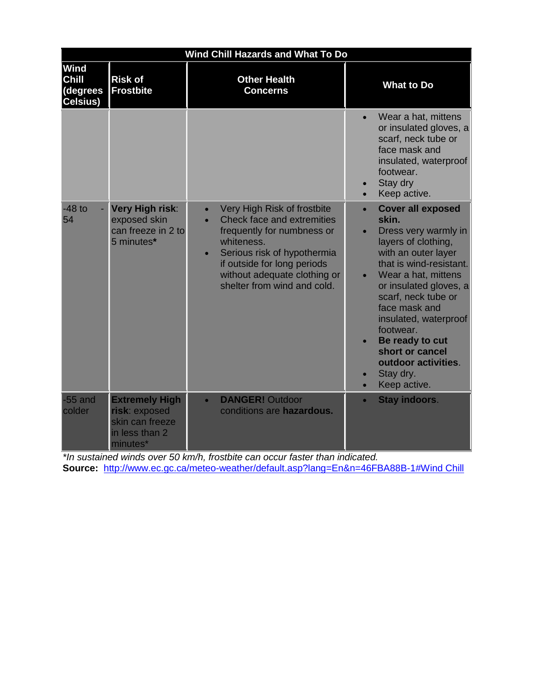| <b>Wind Chill Hazards and What To Do</b>     |                                                                                         |                                                                                                                                                                                                                                                                           |                                                                                                                                                                                                                                                                                                                                                                          |  |  |
|----------------------------------------------|-----------------------------------------------------------------------------------------|---------------------------------------------------------------------------------------------------------------------------------------------------------------------------------------------------------------------------------------------------------------------------|--------------------------------------------------------------------------------------------------------------------------------------------------------------------------------------------------------------------------------------------------------------------------------------------------------------------------------------------------------------------------|--|--|
| Wind<br><b>Chill</b><br>(degrees<br>Celsius) | <b>Risk of</b><br><b>Frostbite</b>                                                      | <b>Other Health</b><br><b>Concerns</b>                                                                                                                                                                                                                                    | <b>What to Do</b>                                                                                                                                                                                                                                                                                                                                                        |  |  |
|                                              |                                                                                         |                                                                                                                                                                                                                                                                           | Wear a hat, mittens<br>or insulated gloves, a<br>scarf, neck tube or<br>face mask and<br>insulated, waterproof<br>footwear.<br>Stay dry<br>Keep active.                                                                                                                                                                                                                  |  |  |
| $-48$ to<br>54                               | <b>Very High risk:</b><br>exposed skin<br>can freeze in 2 to<br>5 minutes*              | Very High Risk of frostbite<br>$\bullet$<br>Check face and extremities<br>$\bullet$<br>frequently for numbness or<br>whiteness.<br>Serious risk of hypothermia<br>$\bullet$<br>if outside for long periods<br>without adequate clothing or<br>shelter from wind and cold. | <b>Cover all exposed</b><br>$\bullet$<br>skin.<br>Dress very warmly in<br>layers of clothing,<br>with an outer layer<br>that is wind-resistant.<br>Wear a hat, mittens<br>or insulated gloves, a<br>scarf, neck tube or<br>face mask and<br>insulated, waterproof<br>footwear.<br>Be ready to cut<br>short or cancel<br>outdoor activities.<br>Stay dry.<br>Keep active. |  |  |
| $-55$ and<br>colder                          | <b>Extremely High</b><br>risk: exposed<br>skin can freeze<br>in less than 2<br>minutes* | <b>DANGER! Outdoor</b><br>$\bullet$<br>conditions are hazardous.                                                                                                                                                                                                          | <b>Stay indoors.</b><br>$\bullet$                                                                                                                                                                                                                                                                                                                                        |  |  |

*\*In sustained winds over 50 km/h, frostbite can occur faster than indicated.* **Source:** <http://www.ec.gc.ca/meteo-weather/default.asp?lang=En&n=46FBA88B-1#Wind Chill>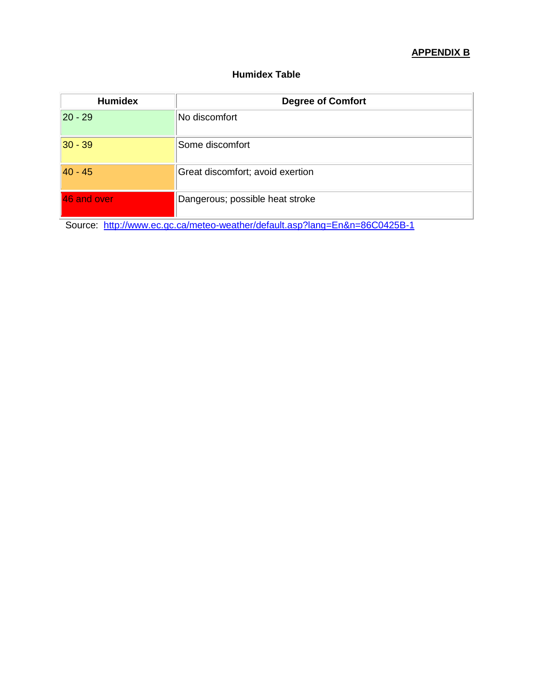# **APPENDIX B**

# **Humidex Table**

| <b>Humidex</b> | <b>Degree of Comfort</b>         |
|----------------|----------------------------------|
| $ 20 - 29 $    | No discomfort                    |
| $ 30 - 39 $    | Some discomfort                  |
| $40 - 45$      | Great discomfort; avoid exertion |
| 46 and over    | Dangerous; possible heat stroke  |

Source: <http://www.ec.gc.ca/meteo-weather/default.asp?lang=En&n=86C0425B-1>